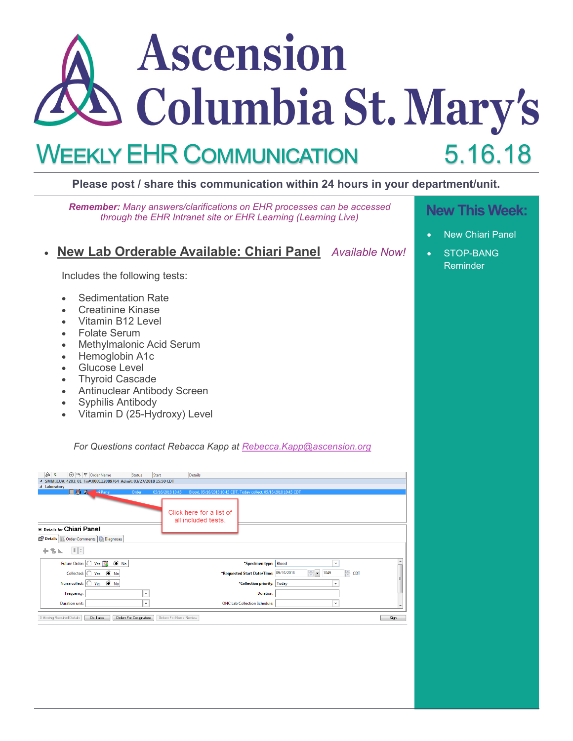# Ascension Columbia St. Mary's 5.16.18 Weekly EHR Communication

#### **Please post / share this communication within 24 hours in your department/unit.**

**New This Week:** *Remember: Many answers/clarifications on EHR processes can be accessed through the EHR Intranet site or EHR Learning (Learning Live)*

## • **New Lab Orderable Available: Chiari Panel** *Available Now!*

Includes the following tests:

- Sedimentation Rate
- Creatinine Kinase
- Vitamin B12 Level
- Folate Serum
- Methylmalonic Acid Serum
- Hemoglobin A1c
- Glucose Level
- Thyroid Cascade
- Antinuclear Antibody Screen
- Syphilis Antibody
- Vitamin D (25-Hydroxy) Level

*For Questions contact Rebacca Kapp at [Rebecca.Kapp@ascension.org](mailto:Rebecca.Kapp@ascension.org)*

| $\delta$ s<br><b>⑦吗</b> ♡ Order Name                                    | Status                 | Start                   | Details                                                                            |                                        |                      |       |      |
|-------------------------------------------------------------------------|------------------------|-------------------------|------------------------------------------------------------------------------------|----------------------------------------|----------------------|-------|------|
| △ SMM ICUA; 4203; 01 Fin#:000112089764 Admit: 03/27/2018 15:50 CDT      |                        |                         |                                                                                    |                                        |                      |       |      |
| ⊿ Laboratory                                                            |                        |                         |                                                                                    |                                        |                      |       |      |
| ∃ A) Cn<br><b>ari Panel</b>                                             | Order                  |                         | 05/16/2018 10:45  Blood, 05/16/2018 10:45 CDT, Today collect, 05/16/2018 10:45 CDT |                                        |                      |       |      |
| <b>Ex Details for Chiari Panel</b>                                      |                        |                         | Click here for a list of<br>all included tests.                                    |                                        |                      |       |      |
| Details   Order Comments   @ Diagnoses<br>$  \mathbf{L}   \times$<br>÷. |                        |                         |                                                                                    |                                        |                      |       |      |
| $\overline{a}$ line                                                     |                        |                         |                                                                                    |                                        |                      |       |      |
| Future Order: C Yes 13<br>$\odot$ No                                    |                        |                         |                                                                                    | *Specimen type: Blood                  | $\check{~}$          |       |      |
| Collected: 0 Yes ( No                                                   |                        |                         |                                                                                    | *Requested Start Date/Time: 05/16/2018 | $\frac{1}{2}$ - 1045 | ≑ CDT |      |
| Yes $\circledcirc$ No<br>Nurse collect: $\bigcap$                       |                        |                         |                                                                                    | *Collection priority:   Today          | $\checkmark$         |       |      |
| Frequency:                                                              | v                      |                         |                                                                                    | Duration:                              |                      |       |      |
| <b>Duration unit:</b>                                                   | $\checkmark$           |                         |                                                                                    | <b>ONC Lab Collection Schedule:</b>    | $\checkmark$         |       |      |
| 0 Missing Required Details<br>Dx Table                                  | Orders For Cosignature | Orders For Nurse Review |                                                                                    |                                        |                      |       | Sign |

- 
- **New Chiari Panel**
- STOP-BANG Reminder